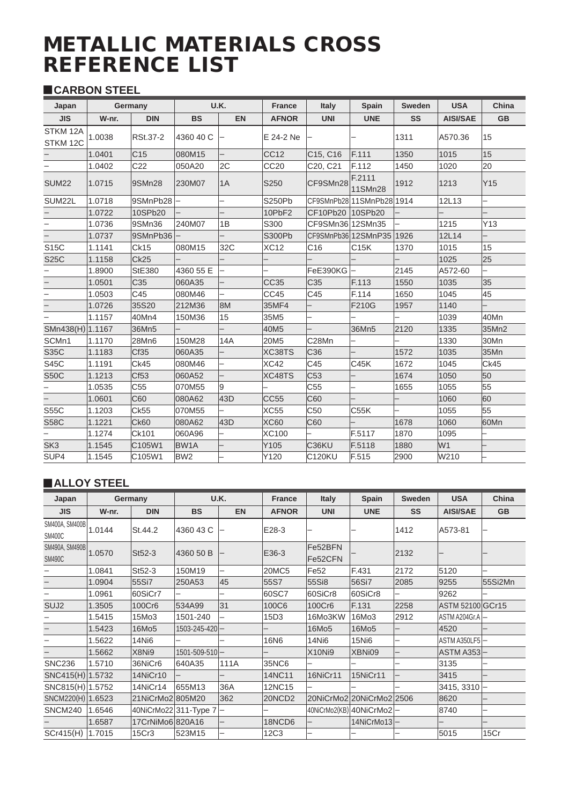# **METALLIC MATERIALS CROSS<br>REFERENCE LIST**

# **CARBON STEEL**

| Japan                |        | Germany          |                   | <b>U.K.</b> | <b>France</b>    | <b>Italy</b>     | Spain                     | Sweden | <b>USA</b>      | China     |
|----------------------|--------|------------------|-------------------|-------------|------------------|------------------|---------------------------|--------|-----------------|-----------|
| <b>JIS</b>           | W-nr.  | <b>DIN</b>       | <b>BS</b>         | <b>EN</b>   | <b>AFNOR</b>     | <b>UNI</b>       | <b>UNE</b>                | SS     | <b>AISI/SAE</b> | <b>GB</b> |
| STKM 12A<br>STKM 12C | 1.0038 | <b>RSt.37-2</b>  | 4360 40 C         |             | E 24-2 Ne        |                  |                           | 1311   | A570.36         | 15        |
|                      | 1.0401 | C <sub>15</sub>  | 080M15            |             | CC <sub>12</sub> | C15, C16         | F.111                     | 1350   | 1015            | 15        |
|                      | 1.0402 | C <sub>22</sub>  | 050A20            | 2C          | CC20             | C20, C21         | F.112                     | 1450   | 1020            | 20        |
| <b>SUM22</b>         | 1.0715 | 9SMn28           | 230M07            | 1A          | S250             | CF9SMn28         | F.2111<br>11SMn28         | 1912   | 1213            | Y15       |
| SUM22L               | 1.0718 | 9SMnPb28         |                   |             | S250Pb           |                  | CF9SMnPb28111SMnPb2811914 |        | 12L13           |           |
|                      | 1.0722 | 10SPb20          |                   |             | 10PbF2           | CF10Pb20 10SPb20 |                           |        |                 |           |
|                      | 1.0736 | 9SMn36           | 240M07            | 1B          | S300             | CF9SMn36 12SMn35 |                           |        | 1215            | Y13       |
|                      | 1.0737 | 9SMnPb36         |                   |             | <b>S300Pb</b>    |                  | CF9SMnPb3612SMnP3511926   |        | 12L14           |           |
| S15C                 | 1.1141 | Ck15             | 080M15            | 32C         | <b>XC12</b>      | C16              | C15K                      | 1370   | 1015            | 15        |
| <b>S25C</b>          | 1.1158 | <b>Ck25</b>      |                   |             |                  |                  |                           |        | 1025            | 25        |
|                      | 1.8900 | <b>StE380</b>    | 4360 55 E         |             |                  | FeE390KG         |                           | 2145   | A572-60         |           |
|                      | 1.0501 | C35              | 060A35            |             | <b>CC35</b>      | C <sub>35</sub>  | F.113                     | 1550   | 1035            | 35        |
|                      | 1.0503 | C45              | 080M46            |             | CC45             | C45              | F.114                     | 1650   | 1045            | 45        |
|                      | 1.0726 | 35S20            | 212M36            | 8M          | 35MF4            |                  | F210G                     | 1957   | 1140            |           |
|                      | 1.1157 | 40Mn4            | 150M36            | 15          | 35M <sub>5</sub> |                  |                           |        | 1039            | 40Mn      |
| SMn438(H) 1.1167     |        | 36Mn5            |                   |             | 40M5             |                  | 36Mn5                     | 2120   | 1335            | 35Mn2     |
| SCMn1                | 1.1170 | 28Mn6            | 150M28            | 14A         | 20M5             | C28Mn            |                           |        | 1330            | 30Mn      |
| <b>S35C</b>          | 1.1183 | Cf35             | 060A35            |             | XC38TS           | C36              |                           | 1572   | 1035            | 35Mn      |
| <b>S45C</b>          | 1.1191 | Ck45             | 080M46            |             | XC42             | C45              | <b>C45K</b>               | 1672   | 1045            | CK45      |
| <b>S50C</b>          | 1.1213 | Cf <sub>53</sub> | 060A52            |             | XC48TS           | C53              |                           | 1674   | 1050            | 50        |
|                      | 1.0535 | C <sub>55</sub>  | 070M55            | 9           |                  | C <sub>55</sub>  |                           | 1655   | 1055            | 55        |
|                      | 1.0601 | C60              | 080A62            | 43D         | <b>CC55</b>      | C60              |                           |        | 1060            | 60        |
| <b>S55C</b>          | 1.1203 | <b>Ck55</b>      | 070M55            |             | <b>XC55</b>      | C <sub>50</sub>  | C55K                      |        | 1055            | 55        |
| <b>S58C</b>          | 1.1221 | Ck60             | 080A62            | 43D         | XC60             | C60              |                           | 1678   | 1060            | 60Mn      |
|                      | 1.1274 | Ck101            | 060A96            |             | XC100            |                  | F.5117                    | 1870   | 1095            |           |
| SK <sub>3</sub>      | 1.1545 | C105W1           | BW <sub>1</sub> A |             | Y105             | C36KU            | F.5118                    | 1880   | W <sub>1</sub>  |           |
| SUP4                 | 1.1545 | C105W1           | BW <sub>2</sub>   |             | Y120             | <b>C120KU</b>    | F.515                     | 2900   | W210            |           |

## ALLOY STEEL

| Japan                                  |        | Germany          |                       | U.K.      | <b>France</b>      | <b>Italy</b>             | Spain       | <b>Sweden</b> | <b>USA</b>       | China     |
|----------------------------------------|--------|------------------|-----------------------|-----------|--------------------|--------------------------|-------------|---------------|------------------|-----------|
| <b>JIS</b>                             | W-nr.  | <b>DIN</b>       | <b>BS</b>             | <b>EN</b> | <b>AFNOR</b>       | <b>UNI</b>               | <b>UNE</b>  | <b>SS</b>     | <b>AISI/SAE</b>  | <b>GB</b> |
| SM400A, SM400B 1.0144<br><b>SM400C</b> |        | St.44.2          | 4360 43 C             |           | E28-3              |                          |             | 1412          | A573-81          |           |
| SM490A, SM490B<br><b>SM490C</b>        | 1.0570 | St52-3           | 4360 50 B             |           | E36-3              | Fe52BFN<br>Fe52CFN       |             | 2132          |                  |           |
|                                        | 1.0841 | St52-3           | 150M19                |           | 20MC5              | <b>Fe52</b>              | F.431       | 2172          | 5120             | -         |
|                                        | 1.0904 | 55Si7            | 250A53                | 45        | 55S7               | 55Si8                    | 56Si7       | 2085          | 9255             | 55Si2Mn   |
|                                        | 1.0961 | 60SiCr7          |                       |           | 60SC7              | 60SiCr8                  | 60SiCr8     |               | 9262             |           |
| SUJ <sub>2</sub>                       | 1.3505 | 100Cr6           | 534A99                | 31        | 100C6              | 100Cr6                   | F.131       | 2258          | ASTM 52100 GCr15 |           |
|                                        | 1.5415 | 15Mo3            | 1501-240              |           | 15D3               | 16Mo3KW                  | 16Mo3       | 2912          | ASTM A204Gr.A -  |           |
|                                        | 1.5423 | 16Mo5            | 1503-245-420 -        |           |                    | 16Mo5                    | 16Mo5       |               | 4520             |           |
|                                        | 1.5622 | 14Ni6            |                       |           | <b>16N6</b>        | 14Ni6                    | 15Ni6       |               | ASTM A350LF5-    |           |
|                                        | 1.5662 | X8Ni9            | $1501 - 509 - 510$ –  |           |                    | X10Ni9                   | XBNi09      |               | $ASTM$ A353 $-$  |           |
| <b>SNC236</b>                          | 1.5710 | 36NiCr6          | 640A35                | 111A      | 35NC6              |                          |             |               | 3135             |           |
| SNC415(H) 1.5732                       |        | 14NiCr10         |                       |           | 14NC11             | 16NiCr11                 | 15NiCr11    |               | 3415             |           |
| SNC815(H) 1.5752                       |        | 14NiCr14         | 655M13                | 36A       | 12NC15             |                          |             |               | $3415, 3310$ -   |           |
| SNCM220(H) 1.6523                      |        | 21NiCrMo2 805M20 |                       | 362       | 20NCD <sub>2</sub> | 20NiCrMo2 20NiCrMo2 2506 |             |               | 8620             |           |
| SNCM240                                | 1.6546 |                  | 40NiCrMo22 311-Type 7 |           |                    | 40NiCrMo2(KB) 40NiCrMo2- |             |               | 8740             |           |
|                                        | 1.6587 | 17CrNiMo6 820A16 |                       |           | 18NCD6             |                          | 14NiCrMo13- |               |                  |           |
| SCr415(H)                              | 1.7015 | 15Cr3            | 523M15                |           | 12C3               |                          |             |               | 5015             | 15Cr      |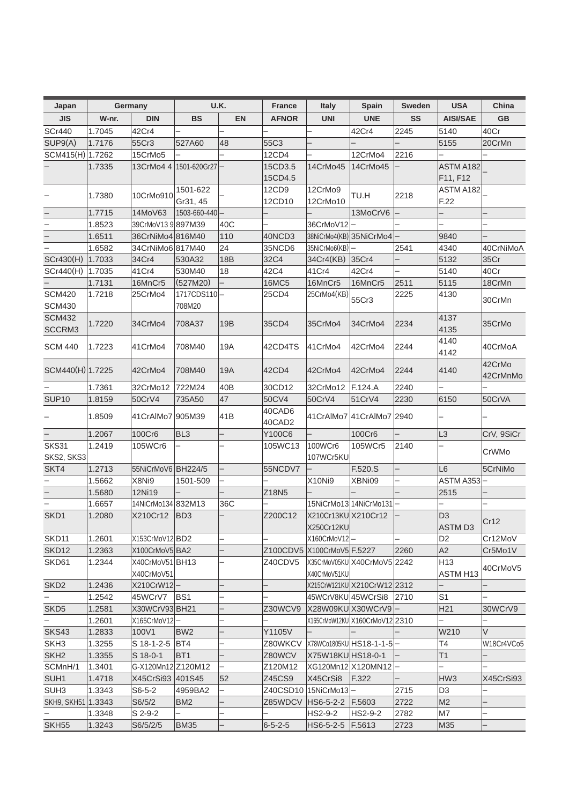| Japan                          |        | Germany                       |                       | U.K.       | <b>France</b>    | Italy                             | Spain                          | <b>Sweden</b> | <b>USA</b>                      | China              |
|--------------------------------|--------|-------------------------------|-----------------------|------------|------------------|-----------------------------------|--------------------------------|---------------|---------------------------------|--------------------|
| <b>JIS</b>                     | W-nr.  | <b>DIN</b>                    | <b>BS</b>             | <b>EN</b>  | <b>AFNOR</b>     | <b>UNI</b>                        | <b>UNE</b>                     | <b>SS</b>     | <b>AISI/SAE</b>                 | <b>GB</b>          |
| <b>SCr440</b>                  | 1.7045 | 42Cr4                         |                       |            |                  |                                   | 42Cr4                          | 2245          | 5140                            | 40Cr               |
| SUP9(A)                        | 1.7176 | 55Cr3                         | 527A60                | 48         | 55C3             |                                   |                                |               | 5155                            | 20CrMn             |
| SCM415(H) 1.7262               |        | 15CrMo5                       |                       |            | 12CD4            |                                   | 12CrMo4                        | 2216          |                                 |                    |
|                                | 1.7335 | 13CrMo4 4                     | 1501-620Gr27          |            | 15CD3.5          | 14CrMo45                          | 14CrMo45                       |               | ASTM A182                       |                    |
|                                |        |                               |                       |            | 15CD4.5          |                                   |                                |               | F11, F12                        |                    |
|                                | 1.7380 | 10CrMo910                     | 1501-622              |            | 12CD9            | 12CrMo9                           | TU.H                           | 2218          | ASTM A182                       |                    |
|                                |        |                               | Gr31, 45              |            | 12CD10           | 12CrMo10                          |                                |               | F.22                            |                    |
|                                | 1.7715 | 14MoV63                       | 1503-660-440          |            |                  |                                   | 13MoCrV6                       |               |                                 |                    |
| $\overline{\phantom{0}}$       | 1.8523 | 39CrMoV13 9 897M39            |                       | 40C        |                  | 36CrMoV12                         |                                |               |                                 |                    |
|                                | 1.6511 | 36CrNiMo4 816M40              |                       | 110        | 40NCD3           |                                   | 38NiCrMo4(KB) 35NiCrMo4        |               | 9840                            |                    |
|                                | 1.6582 | 34CrNiMo6 817M40              |                       | 24         | 35NCD6           | 35NiCrMo6(KB)                     |                                | 2541          | 4340                            | 40CrNiMoA          |
| SCr430(H)                      | 1.7033 | 34Cr4                         | 530A32                | <b>18B</b> | 32C4             | 34Cr4(KB)                         | 35Cr4                          |               | 5132                            | 35Cr               |
| Cr440(H)                       | 1.7035 | 41Cr4                         | 530M40                | 18         | 42C4             | 41Cr4                             | 42Cr4                          |               | 5140                            | 40Cr               |
|                                | 1.7131 | 16MnCr5                       | (527M20)              |            | <b>16MC5</b>     | 16MnCr5                           | 16MnCr5                        | 2511          | 5115                            | 18CrMn             |
| <b>SCM420</b><br><b>SCM430</b> | 1.7218 | 25CrMo4                       | 1717CDS110-<br>708M20 |            | 25CD4            | 25CrMo4(KB)                       | 55Cr3                          | 2225          | 4130                            | 30CrMn             |
| <b>SCM432</b><br>SCCRM3        | 1.7220 | 34CrMo4                       | 708A37                | 19B        | 35CD4            | 35CrMo4                           | 34CrMo4                        | 2234          | 4137<br>4135                    | 35CrMo             |
| <b>SCM 440</b>                 | 1.7223 | 41CrMo4                       | 708M40                | 19A        | 42CD4TS          | 41CrMo4                           | 42CrMo4                        | 2244          | 4140<br>4142                    | 40CrMoA            |
| SCM440(H) 1.7225               |        | 42CrMo4                       | 708M40                | 19A        | 42CD4            | 42CrMo4                           | 42CrMo4                        | 2244          | 4140                            | 42CrMo<br>42CrMnMo |
|                                | 1.7361 | 32CrMo12                      | 722M24                | 40B        | 30CD12           | 32CrMo12                          | F.124.A                        | 2240          |                                 |                    |
| SUP <sub>10</sub>              | 1.8159 | 50CrV4                        | 735A50                | 47         | 50CV4            | 50CrV4                            | 51CrV4                         | 2230          | 6150                            | 50CrVA             |
|                                | 1.8509 | 41CrAlMo7 905M39              |                       | 41B        | 40CAD6<br>40CAD2 |                                   | 41 CrAIMo7 41 CrAIMo7 2940     |               |                                 |                    |
|                                | 1.2067 | 100Cr6                        | BL <sub>3</sub>       |            | Y100C6           |                                   | 100Cr6                         |               | L <sub>3</sub>                  | CrV, 9SiCr         |
| SKS31                          | 1.2419 | 105WCr6                       |                       |            | 105WC13          | 100WCr6                           | 105WCr5                        | 2140          |                                 |                    |
| SKS2, SKS3                     |        |                               |                       |            |                  | 107WCr5KU                         |                                |               |                                 | CrWMo              |
| SKT4                           | 1.2713 | 55NiCrMoV6 BH224/5            |                       |            | 55NCDV7          |                                   | F.520.S                        |               | L <sub>6</sub>                  | 5CrNiMo            |
|                                | 1.5662 | X8Ni9                         | 1501-509              |            |                  | X10Ni9                            | XBNi09                         |               | ASTM A353                       |                    |
|                                | 1.5680 | 12Ni19                        |                       |            | Z18N5            |                                   |                                |               | 2515                            |                    |
|                                | 1.6657 | 14NiCrMo134 832M13            |                       | 36C        |                  |                                   | 15NiCrMo13 14NiCrMo131         |               |                                 |                    |
| SKD1                           | 1.2080 | X210Cr12                      | BD3                   |            | Z200C12          | X210Cr13KU X210Cr12<br>X250Cr12KU |                                |               | D <sub>3</sub><br><b>ASTMD3</b> | Cr12               |
| SKD11                          | 1.2601 | X153CrMoV12 BD2               |                       |            |                  | X160CrMoV12-                      |                                |               | D <sub>2</sub>                  | Cr12MoV            |
| SKD12                          | 1.2363 | X100CrMoV5 BA2                |                       |            |                  | Z100CDV5 X100CrMoV5 F.5227        |                                | 2260          | A2                              | Cr5Mo1V            |
| SKD61                          | 1.2344 | X40CrMoV51 BH13<br>X40CrMoV51 |                       |            | Z40CDV5          | X40CrMoV51KU                      | X35CrMoV05KUIX40CrMoV5I2242    |               | H13<br>ASTM H13                 | 40CrMoV5           |
| SKD <sub>2</sub>               | 1.2436 | X210CrW12-                    |                       |            |                  |                                   | X215CrW121KU X210CrW12 2312    |               |                                 |                    |
|                                | 1.2542 | 45WCrV7 BS1                   |                       |            |                  | 45WCrV8KU 45WCrSi8                |                                | 2710          | S <sub>1</sub>                  |                    |
| SKD <sub>5</sub>               | 1.2581 | X30WCrV93 BH21                |                       |            | Z30WCV9          |                                   | X28W09KU X30WCrV9              |               | H <sub>21</sub>                 | 30WCrV9            |
|                                | 1.2601 | X165CrMoV12                   |                       |            |                  |                                   | X165CrMoW12KU X160CrMoV12 2310 |               |                                 |                    |
| <b>SKS43</b>                   | 1.2833 | 100V1                         | BW2                   |            | Y1105V           |                                   |                                |               | W210                            | V                  |
| SKH <sub>3</sub>               | 1.3255 | S 18-1-2-5 BT4                |                       |            | Z80WKCV          |                                   | X78WCo1805KU HS18-1-1-5 —      |               | Τ4                              | W18Cr4VCo5         |
| SKH <sub>2</sub>               | 1.3355 | S 18-0-1                      | IBT1                  |            | Z80WCV           | X75W18KU HS18-0-1                 |                                |               | T1                              |                    |
| SCMnH/1                        | 1.3401 | G-X120Mn12 Z120M12            |                       |            | Z120M12          |                                   | XG120Mn12 X120MN12             |               |                                 |                    |
| SUH1                           | 1.4718 | X45CrSi93 401S45              |                       | 52         | Z45CS9           | X45CrSi8                          | F.322                          |               | HW <sub>3</sub>                 | X45CrSi93          |
| SUH <sub>3</sub>               | 1.3343 | $S6-5-2$                      | 4959BA2               |            | Z40CSD10         | 15NiCrMo13                        |                                | 2715          | D3                              |                    |
| SKH9, SKH51 1.3343             |        | S6/5/2                        | BM <sub>2</sub>       |            | Z85WDCV          | HS6-5-2-2                         | F.5603                         | 2722          | M <sub>2</sub>                  |                    |
|                                | 1.3348 | S 2-9-2                       |                       |            |                  | HS2-9-2                           | HS2-9-2                        | 2782          | M7                              |                    |
| SKH <sub>55</sub>              | 1.3243 | S6/5/2/5                      | <b>BM35</b>           |            | $6 - 5 - 2 - 5$  | HS6-5-2-5                         | F.5613                         | 2723          | M35                             |                    |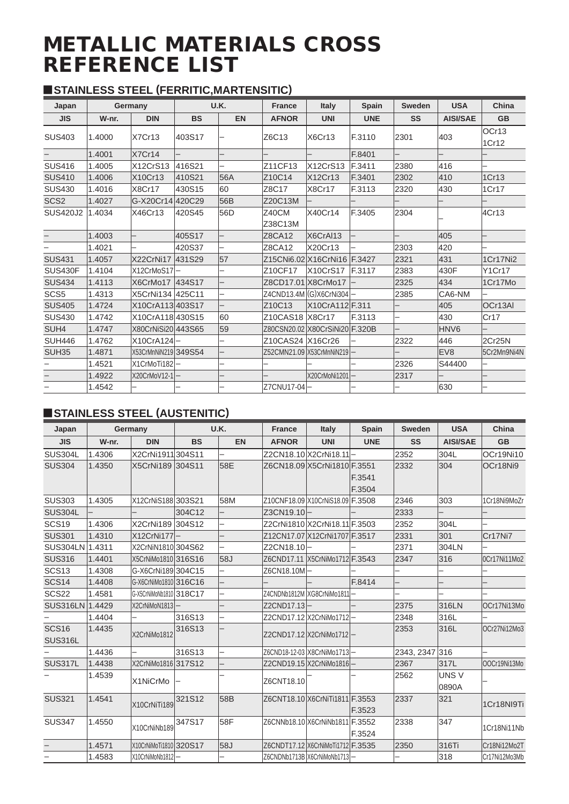# METALLIC MATERIALS CROSS REFERENCE LIST

# y **STAINLESS STEEL (FERRITIC,MARTENSITIC)**

| Japan            |        | Germany              |           | <b>U.K.</b> | <b>France</b>                   | Italy                          | <b>Spain</b> | <b>Sweden</b> | <b>USA</b>       | China          |
|------------------|--------|----------------------|-----------|-------------|---------------------------------|--------------------------------|--------------|---------------|------------------|----------------|
| <b>JIS</b>       | W-nr.  | <b>DIN</b>           | <b>BS</b> | <b>EN</b>   | <b>AFNOR</b>                    | <b>UNI</b>                     | <b>UNE</b>   | SS            | <b>AISI/SAE</b>  | <b>GB</b>      |
| <b>SUS403</b>    | 1.4000 | X7Cr13               | 403S17    |             | Z6C13                           | X6Cr13                         | F.3110       | 2301          | 403              | OCr13<br>1Cr12 |
|                  | 1.4001 | X7Cr14               |           |             |                                 |                                | F.8401       |               |                  |                |
| <b>SUS416</b>    | 1.4005 | X12CrS13             | 416S21    |             | Z11CF13                         | X12CrS13                       | F.3411       | 2380          | 416              |                |
| <b>SUS410</b>    | 1.4006 | X10Cr13              | 410S21    | 56A         | Z10C14                          | X12Cr13                        | F.3401       | 2302          | 410              | 1Cr13          |
| <b>SUS430</b>    | 1.4016 | X8Cr17               | 430S15    | 60          | Z8C17                           | X8Cr17                         | F.3113       | 2320          | 430              | 1Cr17          |
| SCS <sub>2</sub> | 1.4027 | G-X20Cr14 420C29     |           | 56B         | Z20C13M                         |                                |              |               |                  |                |
| <b>SUS420J2</b>  | 1.4034 | X46Cr13              | 420S45    | 56D         | Z40CM<br>Z38C13M                | X40Cr14                        | F.3405       | 2304          |                  | 4Cr13          |
|                  | 1.4003 |                      | 405S17    |             | Z8CA12                          | X6CrAI13                       |              |               | 405              |                |
|                  | 1.4021 |                      | 420S37    |             | Z8CA12                          | X20Cr13                        |              | 2303          | 420              |                |
| <b>SUS431</b>    | 1.4057 | X22CrNi17            | 431S29    | 57          |                                 | Z15CNi6.02 X16CrNi16 F.3427    |              | 2321          | 431              | 1Cr17Ni2       |
| <b>SUS430F</b>   | 1.4104 | X12CrMoS17-          |           |             | Z10CF17                         | X10CrS17 F.3117                |              | 2383          | 430F             | Y1Cr17         |
| <b>SUS434</b>    | 1.4113 | X6CrMo17 434S17      |           |             | Z8CD17.01 X8CrMo17              |                                |              | 2325          | 434              | 1Cr17Mo        |
| SCS <sub>5</sub> | 1.4313 | X5CrNi134 425C11     |           |             |                                 | Z4CND13.4M (G) X6CrNi304 -     |              | 2385          | CA6-NM           |                |
| <b>SUS405</b>    | 1.4724 | X10CrA113 403S17     |           |             | Z <sub>10</sub> C <sub>13</sub> | X10CrA112 F.311                |              |               | 405              | OCr13AI        |
| <b>SUS430</b>    | 1.4742 | X10CrA118 430S15     |           | 60          | Z10CAS18 X8Cr17                 |                                | F.3113       |               | 430              | Cr17           |
| SUH4             | 1.4747 | X80CrNiSi20 443S65   |           | 59          |                                 | Z80CSN20.02 X80CrSiNi20 F.320B |              |               | HNV <sub>6</sub> |                |
| <b>SUH446</b>    | 1.4762 | X10CrA124-           |           |             | Z10CAS24 X16Cr26                |                                |              | 2322          | 446              | 2Cr25N         |
| <b>SUH35</b>     | 1.4871 | X53CrMnNiN219 349S54 |           |             |                                 | Z52CMN21.09 X53CrMnNiN219 -    |              |               | EV <sub>8</sub>  | 5Cr2Mn9Ni4N    |
|                  | 1.4521 | X1CrMoTi182-         |           |             |                                 |                                |              | 2326          | S44400           |                |
|                  | 1.4922 | X20CrMoV12-1-        |           |             |                                 | X20CrMoNi1201-                 |              | 2317          |                  |                |
|                  | 1.4542 |                      |           |             | Z7CNU17-04-                     |                                |              |               | 630              |                |

# **STAINLESS STEEL (AUSTENITIC)**

| Japan                          |        | Germany                 |           | U.K.      | <b>France</b>                     | <b>Italy</b>                     | Spain      | <b>Sweden</b>  | <b>USA</b>      | China         |
|--------------------------------|--------|-------------------------|-----------|-----------|-----------------------------------|----------------------------------|------------|----------------|-----------------|---------------|
| <b>JIS</b>                     | W-nr.  | <b>DIN</b>              | <b>BS</b> | <b>EN</b> | <b>AFNOR</b>                      | <b>UNI</b>                       | <b>UNE</b> | SS             | <b>AISI/SAE</b> | <b>GB</b>     |
| <b>SUS304L</b>                 | 1.4306 | X2CrNi1911 304S11       |           |           |                                   | Z2CN18.10 X2CrNi18.11 -          |            | 2352           | 304L            | OCr19Ni10     |
| <b>SUS304</b>                  | 1.4350 | X5CrNi189 304S11        |           | 58E       |                                   | Z6CN18.09 X5CrNi1810 F.3551      |            | 2332           | 304             | OCr18Ni9      |
|                                |        |                         |           |           |                                   |                                  | F.3541     |                |                 |               |
|                                |        |                         |           |           |                                   |                                  | F.3504     |                |                 |               |
| <b>SUS303</b>                  | 1.4305 | X12CrNiS188 303S21      |           | 58M       |                                   | Z10CNF18.09 X10CrNiS18.09 F.3508 |            | 2346           | 303             | 1Cr18Ni9MoZr  |
| <b>SUS304L</b>                 |        |                         | 304C12    |           | Z3CN19.10-                        |                                  |            | 2333           |                 |               |
| SCS <sub>19</sub>              | 1.4306 | X2CrNi189 304S12        |           |           |                                   | Z2CrNi1810 X2CrNi18.11 F.3503    |            | 2352           | 304L            |               |
| <b>SUS301</b>                  | 1.4310 | X12CrNi177-             |           |           |                                   | Z12CN17.07 X12CrNi1707 F.3517    |            | 2331           | 301             | Cr17Ni7       |
| SUS304LN 1.4311                |        | X2CrNiN1810 304S62      |           |           | Z2CN18.10-                        |                                  |            | 2371           | 304LN           |               |
| <b>SUS316</b>                  | 1.4401 | X5CrNiMo1810 316S16     |           | 58J       |                                   | Z6CND17.11 X5CrNiMo1712 F.3543   |            | 2347           | 316             | OCr17Ni11Mo2  |
| SCS <sub>13</sub>              | 1.4308 | G-X6CrNi189 304 C15     |           |           | Z6CN18.10M-                       |                                  |            |                |                 |               |
| <b>SCS14</b>                   | 1.4408 | G-X6CrNiMo1810 316C16   |           |           |                                   |                                  | F.8414     |                |                 |               |
| SCS <sub>22</sub>              | 1.4581 | G-X5CrNiMoNb1810 318C17 |           |           |                                   | Z4CNDNb1812M XG8CrNiMo1811 -     |            |                |                 |               |
| SUS316LN 1.4429                |        | X2CrNiMoN1813           |           |           | Z2CND17.13-                       |                                  |            | 2375           | 316LN           | OCr17Ni13Mo   |
|                                | 1.4404 |                         | 316S13    |           |                                   | Z2CND17.12 X2CrNiMo1712 -        |            | 2348           | 316L            |               |
| <b>SCS16</b><br><b>SUS316L</b> | 1.4435 | X2CrNiMo1812            | 316S13    |           |                                   | Z2CND17.12   X2CrNiMo1712   —    |            | 2353           | 316L            | OCr27Ni12Mo3  |
|                                | 1.4436 |                         | 316S13    |           |                                   | Z6CND18-12-03 X8CrNiMo1713 -     |            | 2343, 2347 316 |                 |               |
| <b>SUS317L</b>                 | 1.4438 | X2CrNiMo1816 317S12     |           |           |                                   | Z2CND19.15 X2CrNiMo1816 -        |            | 2367           | 317L            | OOCr19Ni13Mo  |
|                                | 1.4539 |                         |           |           |                                   |                                  |            | 2562           | UNS V           |               |
|                                |        | X1NiCrMo                |           |           | Z6CNT18.10                        |                                  |            |                | 0890A           |               |
| <b>SUS321</b>                  | 1.4541 | X10CrNiTi189            | 321S12    | 58B       | Z6CNT18.10 X6CrNiTi1811 F.3553    |                                  |            | 2337           | 321             | 1Cr18NI9Ti    |
|                                |        |                         |           |           |                                   |                                  | F.3523     |                |                 |               |
| <b>SUS347</b>                  | 1.4550 |                         | 347S17    | 58F       |                                   | Z6CNNb18.10 X6CrNiNb1811 F.3552  |            | 2338           | 347             |               |
|                                |        | X10CrNiNb189            |           |           |                                   |                                  | F.3524     |                |                 | 1Cr18Ni11Nb   |
|                                | 1.4571 | X10CrNiMoTi1810 320S17  |           | 58J       | Z6CNDT17.12 X6CrNiMoTi1712 F.3535 |                                  |            | 2350           | 316Ti           | Cr18Ni12Mo2T  |
| $\qquad \qquad -$              | 1.4583 | X10CrNiMoNb1812-        |           |           |                                   | Z6CNDNb1713B X6CrNiMoNb1713 -    |            |                | 318             | Cr17Ni12Mo3Mb |